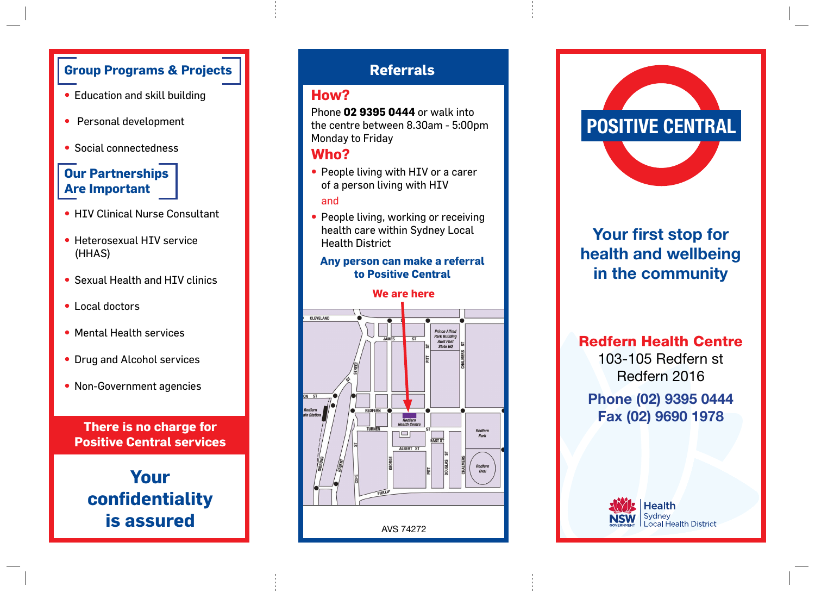## **Group Programs & Projects**

- Education and skill building
- • Personal development
- Social connectedness

## **Our Partnerships Are Important**

- HIV Clinical Nurse Consultant
- Heterosexual HIV service (HHAS)
- Sexual Health and HIV clinics
- Local doctors
- Mental Health services
- Drug and Alcohol services
- Non-Government agencies

**There is no charge for Positive Central services**

**Your confidentiality** 

## **Referrals**

## **How?**

Phone **02 9395 0444** or walk into the centre between 8.30am - 5:00pm Monday to Friday

### **Who?**

- People living with HIV or a carer of a person living with HIV and
- People living, working or receiving health care within Sydney Local Health District

### **Any person can make a referral to Positive Central**

#### **We are here**





# **Your first stop for health and wellbeing in the community**

Redfern Health Centre

103-105 Redfern st Redfern 2016

**Phone (02) 9395 0444 Fax (02) 9690 1978**